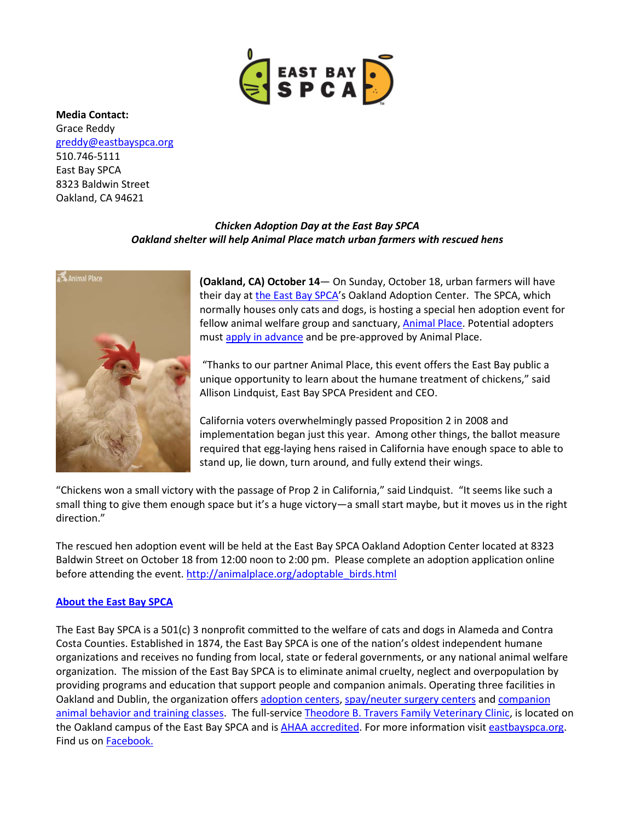

**Media Contact:** Grace Reddy [greddy@eastbayspca.org](mailto:greddy@eastbayspca.org) 510.746-5111 East Bay SPCA 8323 Baldwin Street Oakland, CA 94621

## *Chicken Adoption Day at the East Bay SPCA Oakland shelter will help Animal Place match urban farmers with rescued hens*



**(Oakland, CA) October 14**— On Sunday, October 18, urban farmers will have their day at [the East Bay SPCA'](http://www.eastbayspca.org/)s Oakland Adoption Center. The SPCA, which normally houses only cats and dogs, is hosting a special hen adoption event for fellow animal welfare group and sanctuary, **Animal Place**. Potential adopters mus[t apply in advance](http://animalplace.org/adoptable_birds.html) and be pre-approved by Animal Place.

"Thanks to our partner Animal Place, this event offers the East Bay public a unique opportunity to learn about the humane treatment of chickens," said Allison Lindquist, East Bay SPCA President and CEO.

California voters overwhelmingly passed Proposition 2 in 2008 and implementation began just this year. Among other things, the ballot measure required that egg-laying hens raised in California have enough space to able to stand up, lie down, turn around, and fully extend their wings.

"Chickens won a small victory with the passage of Prop 2 in California," said Lindquist. "It seems like such a small thing to give them enough space but it's a huge victory—a small start maybe, but it moves us in the right direction."

The rescued hen adoption event will be held at the East Bay SPCA Oakland Adoption Center located at 8323 Baldwin Street on October 18 from 12:00 noon to 2:00 pm. Please complete an adoption application online before attending the event. [http://animalplace.org/adoptable\\_birds.html](http://animalplace.org/adoptable_birds.html)

## **[About the East Bay SPCA](http://www.eastbayspca.org/)**

The East Bay SPCA is a 501(c) 3 nonprofit committed to the welfare of cats and dogs in Alameda and Contra Costa Counties. Established in 1874, the East Bay SPCA is one of the nation's oldest independent humane organizations and receives no funding from local, state or federal governments, or any national animal welfare organization. The mission of the East Bay SPCA is to eliminate animal cruelty, neglect and overpopulation by providing programs and education that support people and companion animals. Operating three facilities in Oakland and Dublin, the organization offers [adoption centers,](http://www.eastbayspca.org/centers) [spay/neuter surgery centers](http://www.eastbayspca.org/spayneuter) and companion [animal behavior and](https://www.eastbayspca.org/training) training classes. The full-service [Theodore B. Travers Family Veterinary Clinic,](http://eastbayspca.org/vetcare) is located on the Oakland campus of the East Bay SPCA and is [AHAA accredited.](https://www.aaha.org/pet_owner/about_aaha/) For more information visi[t eastbayspca.org.](http://www.eastbayspca.org/) Find us on **Facebook.**